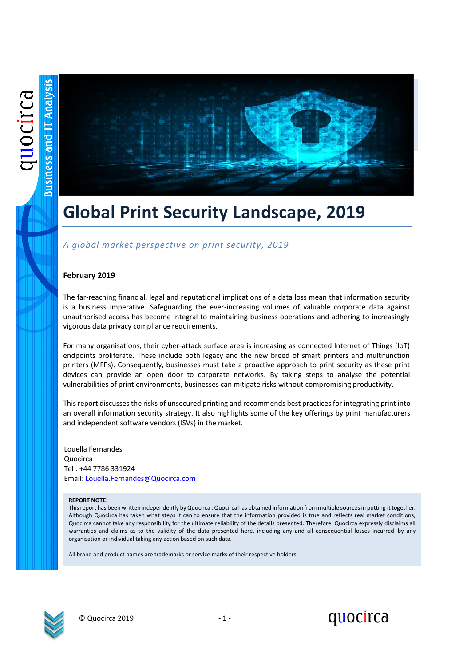

### **Global Print Security Landscape, 2019**

### *A global market perspective on print security, 2019*

### **February 2019**

The far-reaching financial, legal and reputational implications of a data loss mean that information security is a business imperative. Safeguarding the ever-increasing volumes of valuable corporate data against unauthorised access has become integral to maintaining business operations and adhering to increasingly vigorous data privacy compliance requirements.

For many organisations, their cyber-attack surface area is increasing as connected Internet of Things (IoT) endpoints proliferate. These include both legacy and the new breed of smart printers and multifunction printers (MFPs). Consequently, businesses must take a proactive approach to print security as these print devices can provide an open door to corporate networks. By taking steps to analyse the potential vulnerabilities of print environments, businesses can mitigate risks without compromising productivity.

This report discusses the risks of unsecured printing and recommends best practices for integrating print into an overall information security strategy. It also highlights some of the key offerings by print manufacturers and independent software vendors (ISVs) in the market.

Louella Fernandes Quocirca Tel : +44 7786 331924 Email: [Louella.Fernandes@Quocirca.com](mailto:Louella.Fernandes@Quocirca.com)

#### **REPORT NOTE:**

This report has been written independently by Quocirca . Quocirca has obtained information from multiple sources in putting it together. Although Quocirca has taken what steps it can to ensure that the information provided is true and reflects real market conditions, Quocirca cannot take any responsibility for the ultimate reliability of the details presented. Therefore, Quocirca expressly disclaims all warranties and claims as to the validity of the data presented here, including any and all consequential losses incurred by any organisation or individual taking any action based on such data.

All brand and product names are trademarks or service marks of their respective holders.



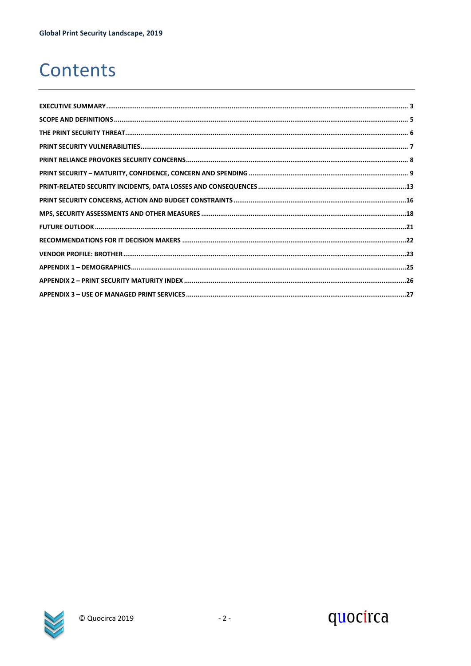### Contents

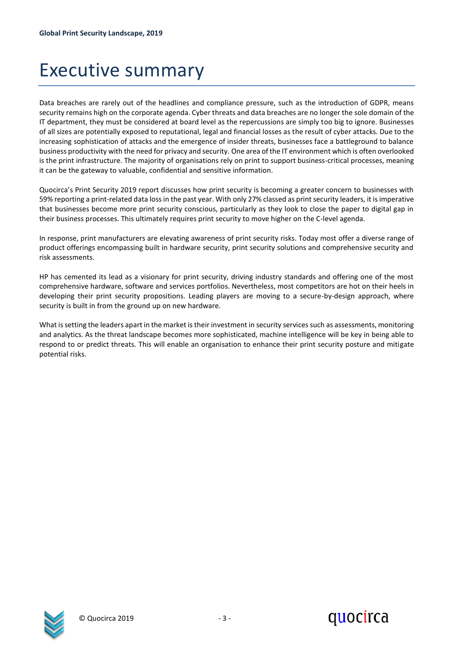### <span id="page-2-0"></span>Executive summary

Data breaches are rarely out of the headlines and compliance pressure, such as the introduction of GDPR, means security remains high on the corporate agenda. Cyber threats and data breaches are no longer the sole domain of the IT department, they must be considered at board level as the repercussions are simply too big to ignore. Businesses of all sizes are potentially exposed to reputational, legal and financial losses as the result of cyber attacks. Due to the increasing sophistication of attacks and the emergence of insider threats, businesses face a battleground to balance business productivity with the need for privacy and security. One area of the IT environment which is often overlooked is the print infrastructure. The majority of organisations rely on print to support business-critical processes, meaning it can be the gateway to valuable, confidential and sensitive information.

Quocirca's Print Security 2019 report discusses how print security is becoming a greater concern to businesses with 59% reporting a print-related data loss in the past year. With only 27% classed as print security leaders, it is imperative that businesses become more print security conscious, particularly as they look to close the paper to digital gap in their business processes. This ultimately requires print security to move higher on the C-level agenda.

In response, print manufacturers are elevating awareness of print security risks. Today most offer a diverse range of product offerings encompassing built in hardware security, print security solutions and comprehensive security and risk assessments.

HP has cemented its lead as a visionary for print security, driving industry standards and offering one of the most comprehensive hardware, software and services portfolios. Nevertheless, most competitors are hot on their heels in developing their print security propositions. Leading players are moving to a secure-by-design approach, where security is built in from the ground up on new hardware.

What is setting the leaders apart in the market is their investment in security services such as assessments, monitoring and analytics. As the threat landscape becomes more sophisticated, machine intelligence will be key in being able to respond to or predict threats. This will enable an organisation to enhance their print security posture and mitigate potential risks.

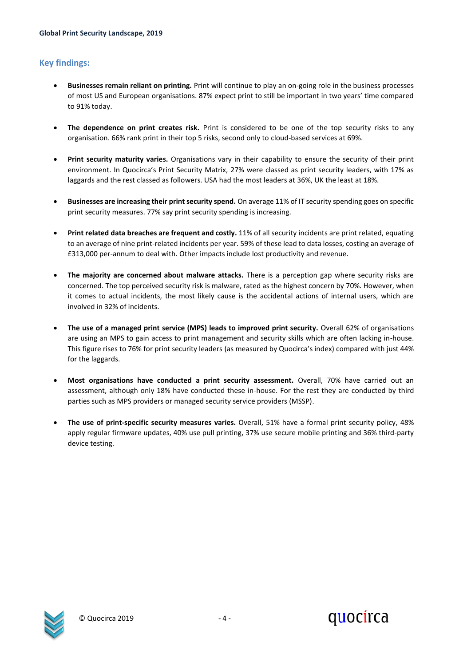### **Key findings:**

- **Businesses remain reliant on printing.** Print will continue to play an on-going role in the business processes of most US and European organisations. 87% expect print to still be important in two years' time compared to 91% today.
- **The dependence on print creates risk.** Print is considered to be one of the top security risks to any organisation. 66% rank print in their top 5 risks, second only to cloud-based services at 69%.
- **Print security maturity varies.** Organisations vary in their capability to ensure the security of their print environment. In Quocirca's Print Security Matrix, 27% were classed as print security leaders, with 17% as laggards and the rest classed as followers. USA had the most leaders at 36%, UK the least at 18%.
- **Businesses are increasing their print security spend.** On average 11% of IT security spending goes on specific print security measures. 77% say print security spending is increasing.
- **Print related data breaches are frequent and costly.** 11% of all security incidents are print related, equating to an average of nine print-related incidents per year. 59% of these lead to data losses, costing an average of £313,000 per-annum to deal with. Other impacts include lost productivity and revenue.
- **The majority are concerned about malware attacks.** There is a perception gap where security risks are concerned. The top perceived security risk is malware, rated as the highest concern by 70%. However, when it comes to actual incidents, the most likely cause is the accidental actions of internal users, which are involved in 32% of incidents.
- **The use of a managed print service (MPS) leads to improved print security.** Overall 62% of organisations are using an MPS to gain access to print management and security skills which are often lacking in-house. This figure rises to 76% for print security leaders (as measured by Quocirca's index) compared with just 44% for the laggards.
- **Most organisations have conducted a print security assessment.** Overall, 70% have carried out an assessment, although only 18% have conducted these in-house. For the rest they are conducted by third parties such as MPS providers or managed security service providers (MSSP).
- **The use of print-specific security measures varies.** Overall, 51% have a formal print security policy, 48% apply regular firmware updates, 40% use pull printing, 37% use secure mobile printing and 36% third-party device testing.

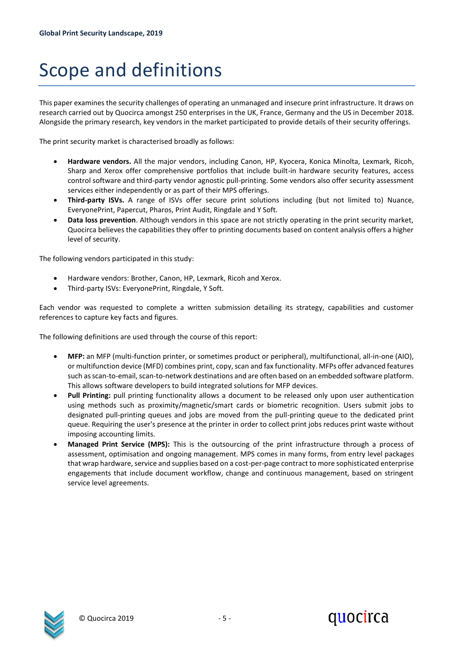## <span id="page-4-0"></span>Scope and definitions

This paper examines the security challenges of operating an unmanaged and insecure print infrastructure. It draws on research carried out by Quocirca amongst 250 enterprises in the UK, France, Germany and the US in December 2018. Alongside the primary research, key vendors in the market participated to provide details of their security offerings.

The print security market is characterised broadly as follows:

- **Hardware vendors.** All the major vendors, including Canon, HP, Kyocera, Konica Minolta, Lexmark, Ricoh, Sharp and Xerox offer comprehensive portfolios that include built-in hardware security features, access control software and third-party vendor agnostic pull-printing. Some vendors also offer security assessment services either independently or as part of their MPS offerings.
- **Third-party ISVs.** A range of ISVs offer secure print solutions including (but not limited to) Nuance, EveryonePrint, Papercut, Pharos, Print Audit, Ringdale and Y Soft.
- **Data loss prevention**. Although vendors in this space are not strictly operating in the print security market, Quocirca believes the capabilities they offer to printing documents based on content analysis offers a higher level of security.

The following vendors participated in this study:

- Hardware vendors: Brother, Canon, HP, Lexmark, Ricoh and Xerox.
- Third-party ISVs: EveryonePrint, Ringdale, Y Soft.

Each vendor was requested to complete a written submission detailing its strategy, capabilities and customer references to capture key facts and figures.

The following definitions are used through the course of this report:

- **MFP:** an MFP (multi-function printer, or sometimes product or peripheral), multifunctional, all-in-one (AIO), or multifunction device (MFD) combines print, copy, scan and fax functionality. MFPs offer advanced features such as scan-to-email, scan-to-network destinations and are often based on an embedded software platform. This allows software developers to build integrated solutions for MFP devices.
- **Pull Printing:** pull printing functionality allows a document to be released only upon user authentication using methods such as proximity/magnetic/smart cards or biometric recognition. Users submit jobs to designated pull-printing queues and jobs are moved from the pull-printing queue to the dedicated print queue. Requiring the user's presence at the printer in order to collect print jobs reduces print waste without imposing accounting limits.
- **Managed Print Service (MPS):** This is the outsourcing of the print infrastructure through a process of assessment, optimisation and ongoing management. MPS comes in many forms, from entry level packages that wrap hardware, service and supplies based on a cost-per-page contract to more sophisticated enterprise engagements that include document workflow, change and continuous management, based on stringent service level agreements.

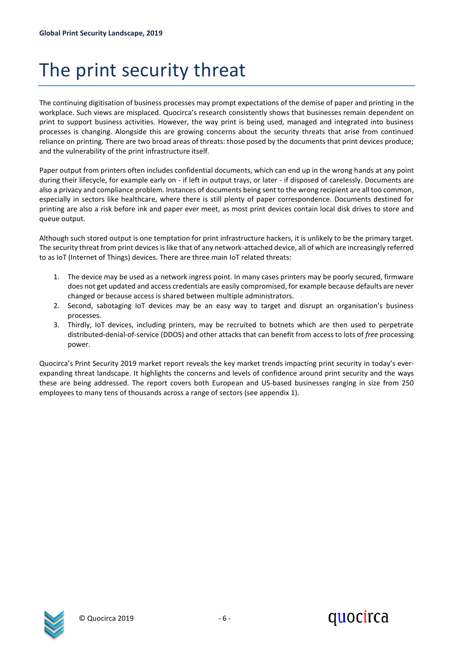## <span id="page-5-0"></span>The print security threat

The continuing digitisation of business processes may prompt expectations of the demise of paper and printing in the workplace. Such views are misplaced. Quocirca's research consistently shows that businesses remain dependent on print to support business activities. However, the way print is being used, managed and integrated into business processes is changing. Alongside this are growing concerns about the security threats that arise from continued reliance on printing. There are two broad areas of threats: those posed by the documents that print devices produce; and the vulnerability of the print infrastructure itself.

Paper output from printers often includes confidential documents, which can end up in the wrong hands at any point during their lifecycle, for example early on - if left in output trays, or later - if disposed of carelessly. Documents are also a privacy and compliance problem. Instances of documents being sent to the wrong recipient are all too common, especially in sectors like healthcare, where there is still plenty of paper correspondence. Documents destined for printing are also a risk before ink and paper ever meet, as most print devices contain local disk drives to store and queue output.

Although such stored output is one temptation for print infrastructure hackers, it is unlikely to be the primary target. The security threat from print devices is like that of any network-attached device, all of which are increasingly referred to as IoT (Internet of Things) devices. There are three main IoT related threats:

- 1. The device may be used as a network ingress point. In many cases printers may be poorly secured, firmware does not get updated and access credentials are easily compromised, for example because defaults are never changed or because access is shared between multiple administrators.
- 2. Second, sabotaging IoT devices may be an easy way to target and disrupt an organisation's business processes.
- 3. Thirdly, IoT devices, including printers, may be recruited to botnets which are then used to perpetrate distributed-denial-of-service (DDOS) and other attacks that can benefit from access to lots of *free* processing power.

Quocirca's Print Security 2019 market report reveals the key market trends impacting print security in today's everexpanding threat landscape. It highlights the concerns and levels of confidence around print security and the ways these are being addressed. The report covers both European and US-based businesses ranging in size from 250 employees to many tens of thousands across a range of sectors (see appendix 1).

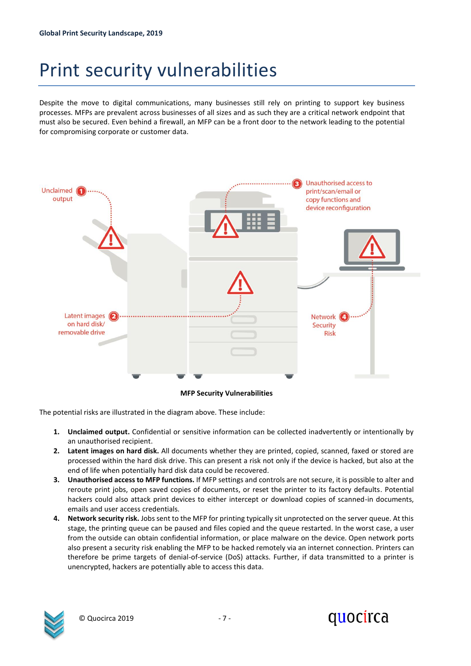### <span id="page-6-0"></span>Print security vulnerabilities

Despite the move to digital communications, many businesses still rely on printing to support key business processes. MFPs are prevalent across businesses of all sizes and as such they are a critical network endpoint that must also be secured. Even behind a firewall, an MFP can be a front door to the network leading to the potential for compromising corporate or customer data.



The potential risks are illustrated in the diagram above. These include:

- **1. Unclaimed output.** Confidential or sensitive information can be collected inadvertently or intentionally by an unauthorised recipient.
- **2. Latent images on hard disk.** All documents whether they are printed, copied, scanned, faxed or stored are processed within the hard disk drive. This can present a risk not only if the device is hacked, but also at the end of life when potentially hard disk data could be recovered.
- **3. Unauthorised access to MFP functions.** If MFP settings and controls are not secure, it is possible to alter and reroute print jobs, open saved copies of documents, or reset the printer to its factory defaults. Potential hackers could also attack print devices to either intercept or download copies of scanned-in documents, emails and user access credentials.
- **4. Network security risk.** Jobs sent to the MFP for printing typically sit unprotected on the server queue. At this stage, the printing queue can be paused and files copied and the queue restarted. In the worst case, a user from the outside can obtain confidential information, or place malware on the device. Open network ports also present a security risk enabling the MFP to be hacked remotely via an internet connection. Printers can therefore be prime targets of denial-of-service (DoS) attacks. Further, if data transmitted to a printer is unencrypted, hackers are potentially able to access this data.

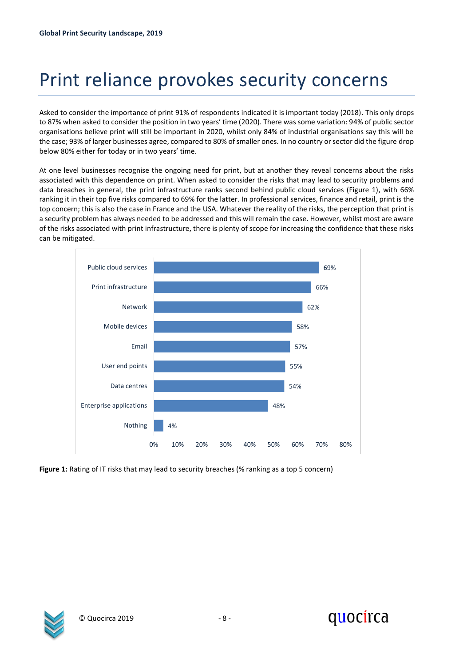## <span id="page-7-0"></span>Print reliance provokes security concerns

Asked to consider the importance of print 91% of respondents indicated it is important today (2018). This only drops to 87% when asked to consider the position in two years' time (2020). There was some variation: 94% of public sector organisations believe print will still be important in 2020, whilst only 84% of industrial organisations say this will be the case; 93% of larger businesses agree, compared to 80% of smaller ones. In no country or sector did the figure drop below 80% either for today or in two years' time.

At one level businesses recognise the ongoing need for print, but at another they reveal concerns about the risks associated with this dependence on print. When asked to consider the risks that may lead to security problems and data breaches in general, the print infrastructure ranks second behind public cloud services (Figure 1), with 66% ranking it in their top five risks compared to 69% for the latter. In professional services, finance and retail, print is the top concern; this is also the case in France and the USA. Whatever the reality of the risks, the perception that print is a security problem has always needed to be addressed and this will remain the case. However, whilst most are aware of the risks associated with print infrastructure, there is plenty of scope for increasing the confidence that these risks can be mitigated.



**Figure 1:** Rating of IT risks that may lead to security breaches (% ranking as a top 5 concern)

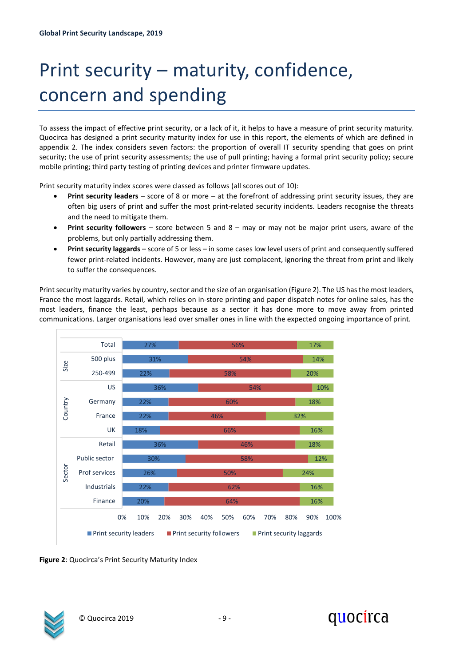## <span id="page-8-0"></span>Print security – maturity, confidence, concern and spending

To assess the impact of effective print security, or a lack of it, it helps to have a measure of print security maturity. Quocirca has designed a print security maturity index for use in this report, the elements of which are defined in appendix 2. The index considers seven factors: the proportion of overall IT security spending that goes on print security; the use of print security assessments; the use of pull printing; having a formal print security policy; secure mobile printing; third party testing of printing devices and printer firmware updates.

Print security maturity index scores were classed as follows (all scores out of 10):

- **Print security leaders** score of 8 or more at the forefront of addressing print security issues, they are often big users of print and suffer the most print-related security incidents. Leaders recognise the threats and the need to mitigate them.
- **Print security followers** score between 5 and 8 may or may not be major print users, aware of the problems, but only partially addressing them.
- **Print security laggards** score of 5 or less in some cases low level users of print and consequently suffered fewer print-related incidents. However, many are just complacent, ignoring the threat from print and likely to suffer the consequences.

Print security maturity varies by country, sector and the size of an organisation (Figure 2). The US has the most leaders, France the most laggards. Retail, which relies on in-store printing and paper dispatch notes for online sales, has the most leaders, finance the least, perhaps because as a sector it has done more to move away from printed communications. Larger organisations lead over smaller ones in line with the expected ongoing importance of print.



**Figure 2**: Quocirca's Print Security Maturity Index



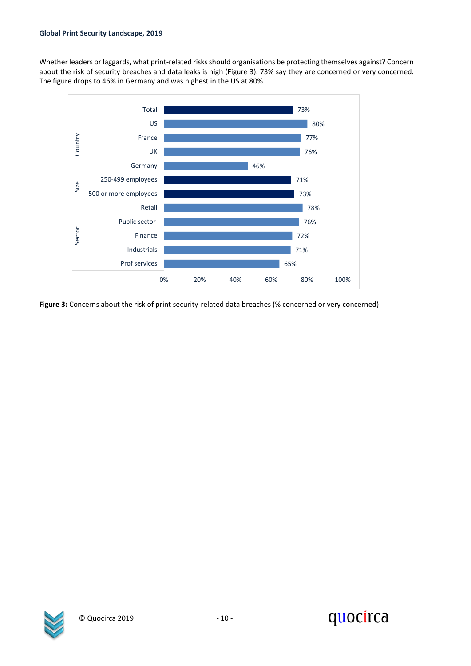Whether leaders or laggards, what print-related risks should organisations be protecting themselves against? Concern about the risk of security breaches and data leaks is high (Figure 3). 73% say they are concerned or very concerned. The figure drops to 46% in Germany and was highest in the US at 80%.



**Figure 3:** Concerns about the risk of print security-related data breaches (% concerned or very concerned)



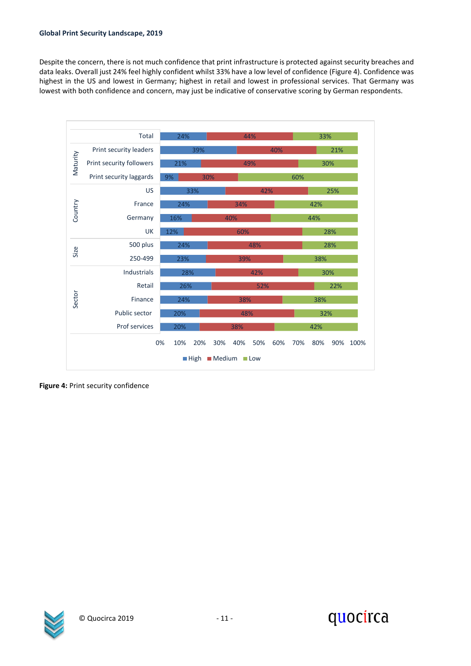#### **Global Print Security Landscape, 2019**

Despite the concern, there is not much confidence that print infrastructure is protected against security breaches and data leaks. Overall just 24% feel highly confident whilst 33% have a low level of confidence (Figure 4). Confidence was highest in the US and lowest in Germany; highest in retail and lowest in professional services. That Germany was lowest with both confidence and concern, may just be indicative of conservative scoring by German respondents.



**Figure 4:** Print security confidence



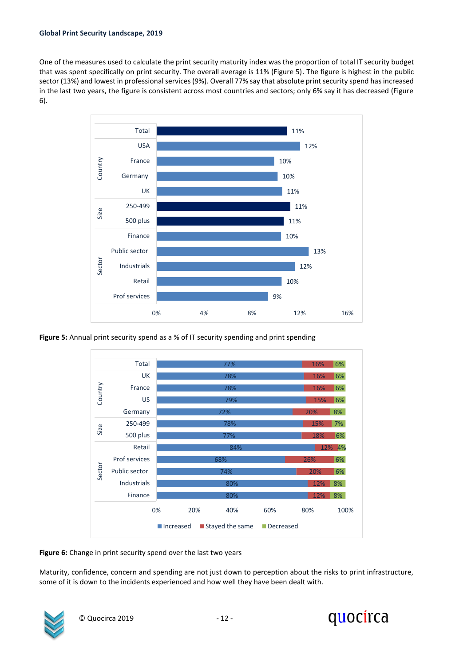One of the measures used to calculate the print security maturity index was the proportion of total IT security budget that was spent specifically on print security. The overall average is 11% (Figure 5). The figure is highest in the public sector (13%) and lowest in professional services (9%). Overall 77% say that absolute print security spend has increased in the last two years, the figure is consistent across most countries and sectors; only 6% say it has decreased (Figure 6).



**Figure 5:** Annual print security spend as a % of IT security spending and print spending



**Figure 6:** Change in print security spend over the last two years

Maturity, confidence, concern and spending are not just down to perception about the risks to print infrastructure, some of it is down to the incidents experienced and how well they have been dealt with.



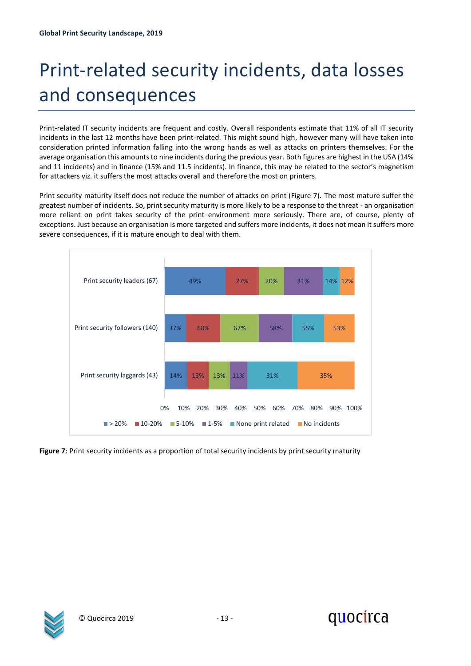## <span id="page-12-0"></span>Print-related security incidents, data losses and consequences

Print-related IT security incidents are frequent and costly. Overall respondents estimate that 11% of all IT security incidents in the last 12 months have been print-related. This might sound high, however many will have taken into consideration printed information falling into the wrong hands as well as attacks on printers themselves. For the average organisation this amounts to nine incidents during the previous year. Both figures are highest in the USA (14% and 11 incidents) and in finance (15% and 11.5 incidents). In finance, this may be related to the sector's magnetism for attackers viz. it suffers the most attacks overall and therefore the most on printers.

Print security maturity itself does not reduce the number of attacks on print (Figure 7). The most mature suffer the greatest number of incidents. So, print security maturity is more likely to be a response to the threat - an organisation more reliant on print takes security of the print environment more seriously. There are, of course, plenty of exceptions. Just because an organisation is more targeted and suffers more incidents, it does not mean it suffers more severe consequences, if it is mature enough to deal with them.



**Figure 7**: Print security incidents as a proportion of total security incidents by print security maturity



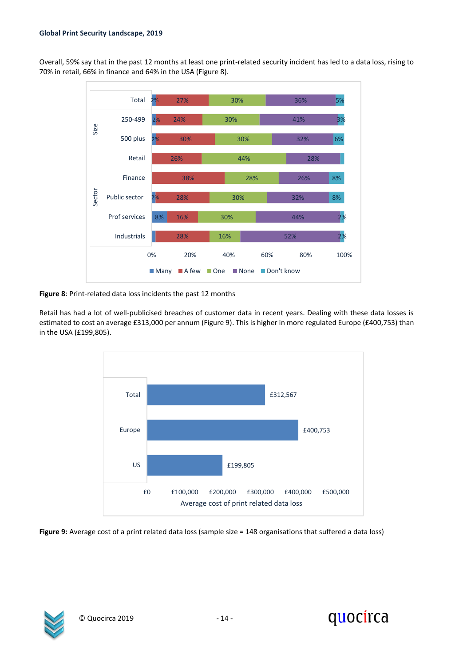Overall, 59% say that in the past 12 months at least one print-related security incident has led to a data loss, rising to 70% in retail, 66% in finance and 64% in the USA (Figure 8).



**Figure 8**: Print-related data loss incidents the past 12 months

Retail has had a lot of well-publicised breaches of customer data in recent years. Dealing with these data losses is estimated to cost an average £313,000 per annum (Figure 9). This is higher in more regulated Europe (£400,753) than in the USA (£199,805).



**Figure 9:** Average cost of a print related data loss (sample size = 148 organisations that suffered a data loss)



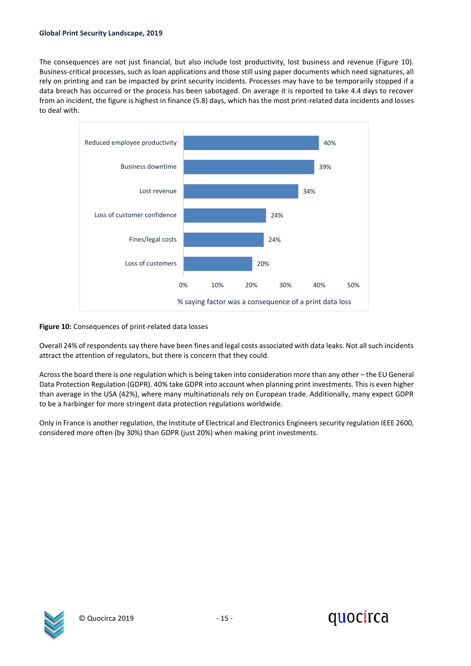The consequences are not just financial, but also include lost productivity, lost business and revenue (Figure 10). Business-critical processes, such as loan applications and those still using paper documents which need signatures, all rely on printing and can be impacted by print security incidents. Processes may have to be temporarily stopped if a data breach has occurred or the process has been sabotaged. On average it is reported to take 4.4 days to recover from an incident, the figure is highest in finance (5.8) days, which has the most print-related data incidents and losses to deal with.



### **Figure 10:** Consequences of print-related data losses

Overall 24% of respondents say there have been fines and legal costs associated with data leaks. Not all such incidents attract the attention of regulators, but there is concern that they could.

Acrossthe board there is one regulation which is being taken into consideration more than any other – the EU General Data Protection Regulation (GDPR). 40% take GDPR into account when planning print investments. This is even higher than average in the USA (42%), where many multinationals rely on European trade. Additionally, many expect GDPR to be a harbinger for more stringent data protection regulations worldwide.

Only in France is another regulation, the Institute of Electrical and Electronics Engineers security regulation IEEE 2600, considered more often (by 30%) than GDPR (just 20%) when making print investments.



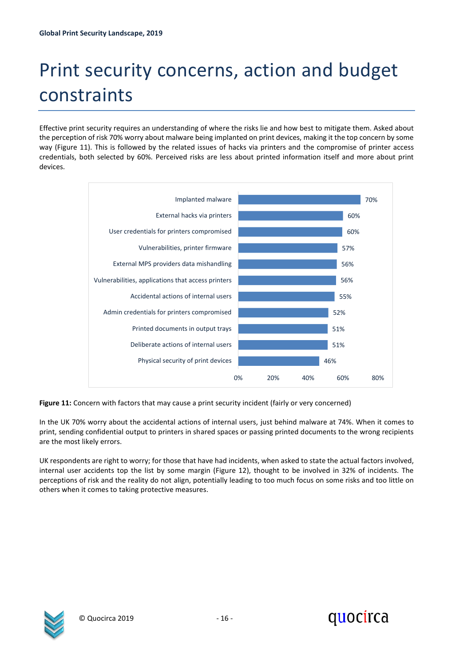# <span id="page-15-0"></span>Print security concerns, action and budget constraints

Effective print security requires an understanding of where the risks lie and how best to mitigate them. Asked about the perception of risk 70% worry about malware being implanted on print devices, making it the top concern by some way (Figure 11). This is followed by the related issues of hacks via printers and the compromise of printer access credentials, both selected by 60%. Perceived risks are less about printed information itself and more about print devices.



**Figure 11:** Concern with factors that may cause a print security incident (fairly or very concerned)

In the UK 70% worry about the accidental actions of internal users, just behind malware at 74%. When it comes to print, sending confidential output to printers in shared spaces or passing printed documents to the wrong recipients are the most likely errors.

UK respondents are right to worry; for those that have had incidents, when asked to state the actual factors involved, internal user accidents top the list by some margin (Figure 12), thought to be involved in 32% of incidents. The perceptions of risk and the reality do not align, potentially leading to too much focus on some risks and too little on others when it comes to taking protective measures.



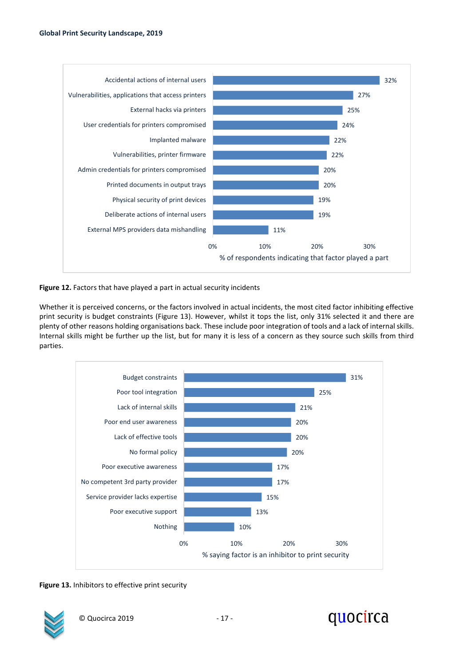

**Figure 12.** Factors that have played a part in actual security incidents

Whether it is perceived concerns, or the factors involved in actual incidents, the most cited factor inhibiting effective print security is budget constraints (Figure 13). However, whilst it tops the list, only 31% selected it and there are plenty of other reasons holding organisations back. These include poor integration of tools and a lack of internal skills. Internal skills might be further up the list, but for many it is less of a concern as they source such skills from third parties.



**Figure 13.** Inhibitors to effective print security



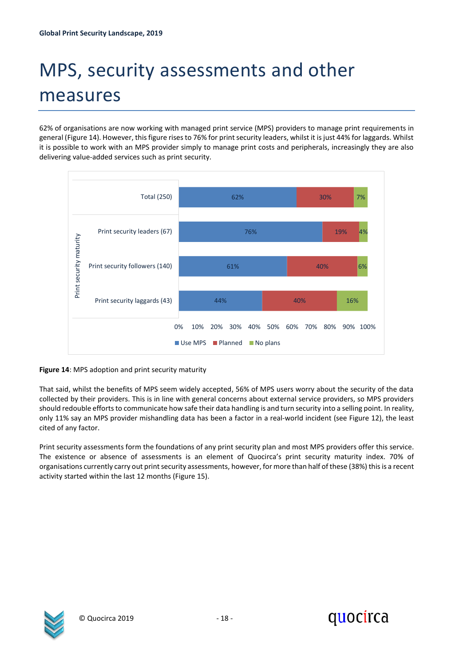## <span id="page-17-0"></span>MPS, security assessments and other measures

62% of organisations are now working with managed print service (MPS) providers to manage print requirements in general (Figure 14). However, this figure rises to 76% for print security leaders, whilst it is just 44% for laggards. Whilst it is possible to work with an MPS provider simply to manage print costs and peripherals, increasingly they are also delivering value-added services such as print security.



**Figure 14**: MPS adoption and print security maturity

That said, whilst the benefits of MPS seem widely accepted, 56% of MPS users worry about the security of the data collected by their providers. This is in line with general concerns about external service providers, so MPS providers should redouble efforts to communicate how safe their data handling is and turn security into a selling point. In reality, only 11% say an MPS provider mishandling data has been a factor in a real-world incident (see Figure 12), the least cited of any factor.

Print security assessments form the foundations of any print security plan and most MPS providers offer this service. The existence or absence of assessments is an element of Quocirca's print security maturity index. 70% of organisations currently carry out print security assessments, however, for more than half of these (38%) thisis a recent activity started within the last 12 months (Figure 15).



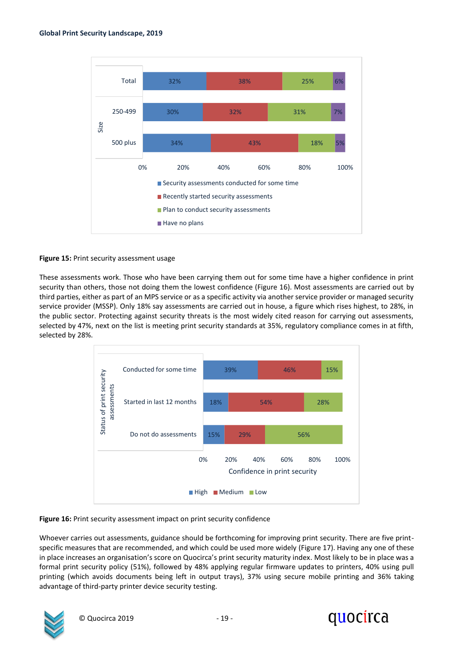

### **Figure 15:** Print security assessment usage

These assessments work. Those who have been carrying them out for some time have a higher confidence in print security than others, those not doing them the lowest confidence (Figure 16). Most assessments are carried out by third parties, either as part of an MPS service or as a specific activity via another service provider or managed security service provider (MSSP). Only 18% say assessments are carried out in house, a figure which rises highest, to 28%, in the public sector. Protecting against security threats is the most widely cited reason for carrying out assessments, selected by 47%, next on the list is meeting print security standards at 35%, regulatory compliance comes in at fifth, selected by 28%.



### **Figure 16:** Print security assessment impact on print security confidence

Whoever carries out assessments, guidance should be forthcoming for improving print security. There are five printspecific measures that are recommended, and which could be used more widely (Figure 17). Having any one of these in place increases an organisation's score on Quocirca's print security maturity index. Most likely to be in place was a formal print security policy (51%), followed by 48% applying regular firmware updates to printers, 40% using pull printing (which avoids documents being left in output trays), 37% using secure mobile printing and 36% taking advantage of third-party printer device security testing.



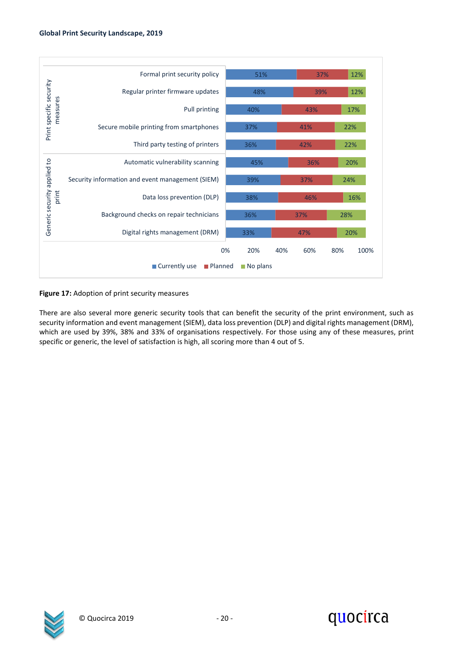

#### **Figure 17:** Adoption of print security measures

There are also several more generic security tools that can benefit the security of the print environment, such as security information and event management (SIEM), data loss prevention (DLP) and digital rights management (DRM), which are used by 39%, 38% and 33% of organisations respectively. For those using any of these measures, print specific or generic, the level of satisfaction is high, all scoring more than 4 out of 5.



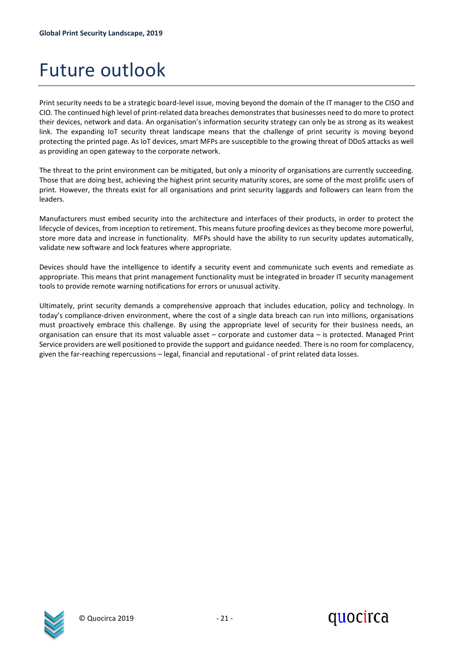### <span id="page-20-0"></span>Future outlook

Print security needs to be a strategic board-level issue, moving beyond the domain of the IT manager to the CISO and CIO. The continued high level of print-related data breaches demonstrates that businesses need to do more to protect their devices, network and data. An organisation's information security strategy can only be as strong as its weakest link. The expanding IoT security threat landscape means that the challenge of print security is moving beyond protecting the printed page. As IoT devices, smart MFPs are susceptible to the growing threat of DDoS attacks as well as providing an open gateway to the corporate network.

The threat to the print environment can be mitigated, but only a minority of organisations are currently succeeding. Those that are doing best, achieving the highest print security maturity scores, are some of the most prolific users of print. However, the threats exist for all organisations and print security laggards and followers can learn from the leaders.

Manufacturers must embed security into the architecture and interfaces of their products, in order to protect the lifecycle of devices, from inception to retirement. This means future proofing devices as they become more powerful, store more data and increase in functionality. MFPs should have the ability to run security updates automatically, validate new software and lock features where appropriate.

Devices should have the intelligence to identify a security event and communicate such events and remediate as appropriate. This means that print management functionality must be integrated in broader IT security management tools to provide remote warning notifications for errors or unusual activity.

Ultimately, print security demands a comprehensive approach that includes education, policy and technology. In today's compliance-driven environment, where the cost of a single data breach can run into millions, organisations must proactively embrace this challenge. By using the appropriate level of security for their business needs, an organisation can ensure that its most valuable asset – corporate and customer data – is protected. Managed Print Service providers are well positioned to provide the support and guidance needed. There is no room for complacency, given the far-reaching repercussions – legal, financial and reputational - of print related data losses.



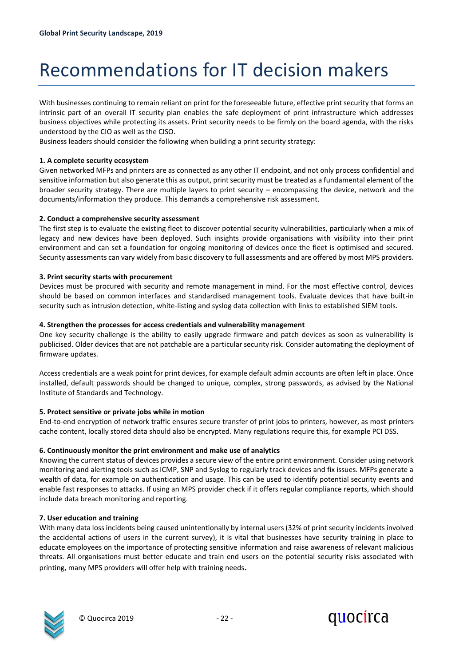## <span id="page-21-0"></span>Recommendations for IT decision makers

With businesses continuing to remain reliant on print for the foreseeable future, effective print security that forms an intrinsic part of an overall IT security plan enables the safe deployment of print infrastructure which addresses business objectives while protecting its assets. Print security needs to be firmly on the board agenda, with the risks understood by the CIO as well as the CISO.

Business leaders should consider the following when building a print security strategy:

### **1. A complete security ecosystem**

Given networked MFPs and printers are as connected as any other IT endpoint, and not only process confidential and sensitive information but also generate this as output, print security must be treated as a fundamental element of the broader security strategy. There are multiple layers to print security – encompassing the device, network and the documents/information they produce. This demands a comprehensive risk assessment.

### **2. Conduct a comprehensive security assessment**

The first step is to evaluate the existing fleet to discover potential security vulnerabilities, particularly when a mix of legacy and new devices have been deployed. Such insights provide organisations with visibility into their print environment and can set a foundation for ongoing monitoring of devices once the fleet is optimised and secured. Security assessments can vary widely from basic discovery to full assessments and are offered by most MPS providers.

#### **3. Print security starts with procurement**

Devices must be procured with security and remote management in mind. For the most effective control, devices should be based on common interfaces and standardised management tools. Evaluate devices that have built-in security such as intrusion detection, white-listing and syslog data collection with links to established SIEM tools.

### **4. Strengthen the processes for access credentials and vulnerability management**

One key security challenge is the ability to easily upgrade firmware and patch devices as soon as vulnerability is publicised. Older devices that are not patchable are a particular security risk. Consider automating the deployment of firmware updates.

Access credentials are a weak point for print devices, for example default admin accounts are often left in place. Once installed, default passwords should be changed to unique, complex, strong passwords, as advised by the National Institute of Standards and Technology.

### **5. Protect sensitive or private jobs while in motion**

End-to-end encryption of network traffic ensures secure transfer of print jobs to printers, however, as most printers cache content, locally stored data should also be encrypted. Many regulations require this, for example PCI DSS.

### **6. Continuously monitor the print environment and make use of analytics**

Knowing the current status of devices provides a secure view of the entire print environment. Consider using network monitoring and alerting tools such as ICMP, SNP and Syslog to regularly track devices and fix issues. MFPs generate a wealth of data, for example on authentication and usage. This can be used to identify potential security events and enable fast responses to attacks. If using an MPS provider check if it offers regular compliance reports, which should include data breach monitoring and reporting.

### **7. User education and training**

With many data loss incidents being caused unintentionally by internal users (32% of print security incidents involved the accidental actions of users in the current survey), it is vital that businesses have security training in place to educate employees on the importance of protecting sensitive information and raise awareness of relevant malicious threats. All organisations must better educate and train end users on the potential security risks associated with printing, many MPS providers will offer help with training needs.



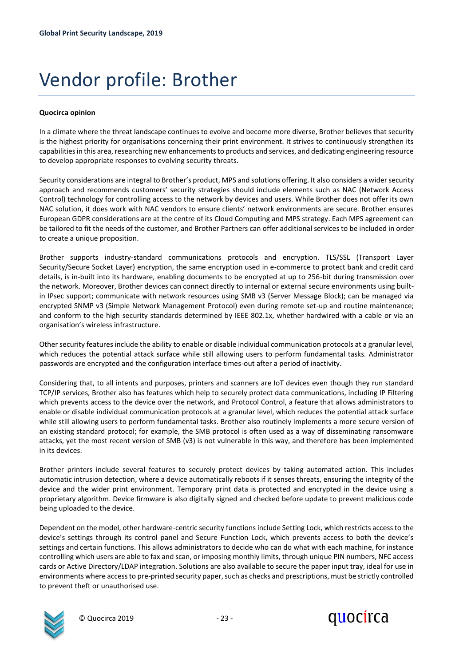## <span id="page-22-0"></span>Vendor profile: Brother

### **Quocirca opinion**

In a climate where the threat landscape continues to evolve and become more diverse, Brother believes that security is the highest priority for organisations concerning their print environment. It strives to continuously strengthen its capabilities in this area, researching new enhancements to products and services, and dedicating engineering resource to develop appropriate responses to evolving security threats.

Security considerations are integral to Brother's product, MPS and solutions offering. It also considers a wider security approach and recommends customers' security strategies should include elements such as NAC (Network Access Control) technology for controlling access to the network by devices and users. While Brother does not offer its own NAC solution, it does work with NAC vendors to ensure clients' network environments are secure. Brother ensures European GDPR considerations are at the centre of its Cloud Computing and MPS strategy. Each MPS agreement can be tailored to fit the needs of the customer, and Brother Partners can offer additional services to be included in order to create a unique proposition.

Brother supports industry-standard communications protocols and encryption. TLS/SSL (Transport Layer Security/Secure Socket Layer) encryption, the same encryption used in e-commerce to protect bank and credit card details, is in-built into its hardware, enabling documents to be encrypted at up to 256-bit during transmission over the network. Moreover, Brother devices can connect directly to internal or external secure environments using builtin IPsec support; communicate with network resources using SMB v3 (Server Message Block); can be managed via encrypted SNMP v3 (Simple Network Management Protocol) even during remote set-up and routine maintenance; and conform to the high security standards determined by IEEE 802.1x, whether hardwired with a cable or via an organisation's wireless infrastructure.

Other security features include the ability to enable or disable individual communication protocols at a granular level, which reduces the potential attack surface while still allowing users to perform fundamental tasks. Administrator passwords are encrypted and the configuration interface times-out after a period of inactivity.

Considering that, to all intents and purposes, printers and scanners are IoT devices even though they run standard TCP/IP services, Brother also has features which help to securely protect data communications, including IP Filtering which prevents access to the device over the network, and Protocol Control, a feature that allows administrators to enable or disable individual communication protocols at a granular level, which reduces the potential attack surface while still allowing users to perform fundamental tasks. Brother also routinely implements a more secure version of an existing standard protocol; for example, the SMB protocol is often used as a way of disseminating ransomware attacks, yet the most recent version of SMB (v3) is not vulnerable in this way, and therefore has been implemented in its devices.

Brother printers include several features to securely protect devices by taking automated action. This includes automatic intrusion detection, where a device automatically reboots if it senses threats, ensuring the integrity of the device and the wider print environment. Temporary print data is protected and encrypted in the device using a proprietary algorithm. Device firmware is also digitally signed and checked before update to prevent malicious code being uploaded to the device.

Dependent on the model, other hardware-centric security functions include Setting Lock, which restricts access to the device's settings through its control panel and Secure Function Lock, which prevents access to both the device's settings and certain functions. This allows administrators to decide who can do what with each machine, for instance controlling which users are able to fax and scan, or imposing monthly limits, through unique PIN numbers, NFC access cards or Active Directory/LDAP integration. Solutions are also available to secure the paper input tray, ideal for use in environments where access to pre-printed security paper, such as checks and prescriptions, must be strictly controlled to prevent theft or unauthorised use.



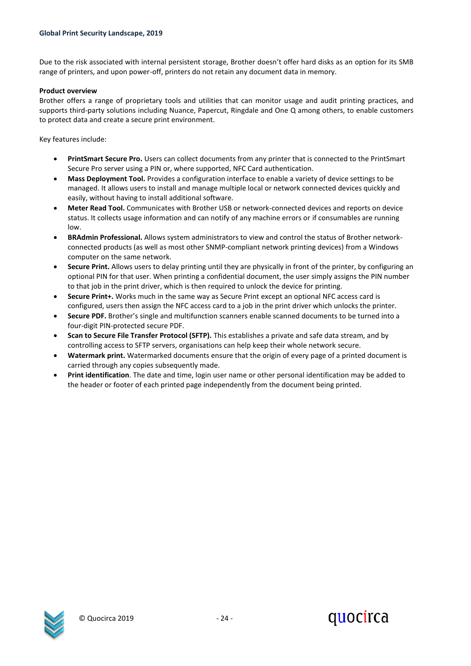Due to the risk associated with internal persistent storage, Brother doesn't offer hard disks as an option for its SMB range of printers, and upon power-off, printers do not retain any document data in memory.

#### **Product overview**

Brother offers a range of proprietary tools and utilities that can monitor usage and audit printing practices, and supports third-party solutions including Nuance, Papercut, Ringdale and One Q among others, to enable customers to protect data and create a secure print environment.

Key features include:

- **PrintSmart Secure Pro.** Users can collect documents from any printer that is connected to the PrintSmart Secure Pro server using a PIN or, where supported, NFC Card authentication.
- **Mass Deployment Tool.** Provides a configuration interface to enable a variety of device settings to be managed. It allows users to install and manage multiple local or network connected devices quickly and easily, without having to install additional software.
- **Meter Read Tool.** Communicates with Brother USB or network-connected devices and reports on device status. It collects usage information and can notify of any machine errors or if consumables are running low.
- **BRAdmin Professional.** Allows system administrators to view and control the status of Brother networkconnected products (as well as most other SNMP-compliant network printing devices) from a Windows computer on the same network.
- **Secure Print.** Allows users to delay printing until they are physically in front of the printer, by configuring an optional PIN for that user. When printing a confidential document, the user simply assigns the PIN number to that job in the print driver, which is then required to unlock the device for printing.
- **Secure Print+.** Works much in the same way as Secure Print except an optional NFC access card is configured, users then assign the NFC access card to a job in the print driver which unlocks the printer.
- **Secure PDF.** Brother's single and multifunction scanners enable scanned documents to be turned into a four-digit PIN-protected secure PDF.
- **Scan to Secure File Transfer Protocol (SFTP).** This establishes a private and safe data stream, and by controlling access to SFTP servers, organisations can help keep their whole network secure.
- **Watermark print.** Watermarked documents ensure that the origin of every page of a printed document is carried through any copies subsequently made.
- **Print identification**. The date and time, login user name or other personal identification may be added to the header or footer of each printed page independently from the document being printed.



quocirca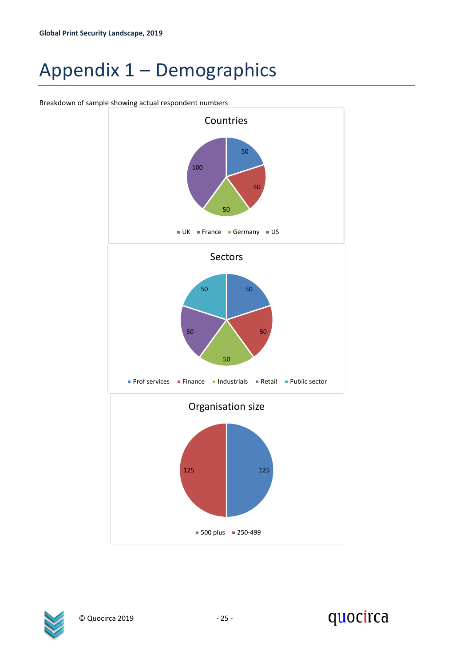## <span id="page-24-0"></span>Appendix 1 – Demographics

Breakdown of sample showing actual respondent numbers





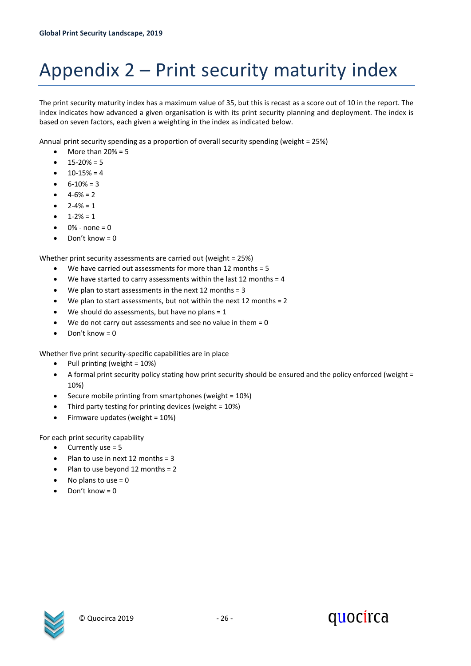# <span id="page-25-0"></span>Appendix 2 – Print security maturity index

The print security maturity index has a maximum value of 35, but this is recast as a score out of 10 in the report. The index indicates how advanced a given organisation is with its print security planning and deployment. The index is based on seven factors, each given a weighting in the index as indicated below.

Annual print security spending as a proportion of overall security spending (weight = 25%)

- More than  $20\% = 5$
- $\bullet$  15-20% = 5
- $10-15% = 4$
- $6 10\% = 3$
- $4 6\% = 2$
- $2 4\% = 1$
- $1 2\% = 1$
- $0%$  none = 0
- Don't know = 0

Whether print security assessments are carried out (weight = 25%)

- We have carried out assessments for more than 12 months = 5
- We have started to carry assessments within the last 12 months  $=$  4
- We plan to start assessments in the next 12 months  $=$  3
- We plan to start assessments, but not within the next 12 months = 2
- We should do assessments, but have no plans =  $1$
- We do not carry out assessments and see no value in them  $= 0$
- Don't know  $= 0$

Whether five print security-specific capabilities are in place

- Pull printing (weight = 10%)
- A formal print security policy stating how print security should be ensured and the policy enforced (weight = 10%)
- Secure mobile printing from smartphones (weight = 10%)
- Third party testing for printing devices (weight = 10%)
- Firmware updates (weight = 10%)

For each print security capability

- $\bullet$  Currently use = 5
- Plan to use in next 12 months = 3
- Plan to use beyond 12 months = 2
- No plans to use  $= 0$
- Don't know  $= 0$



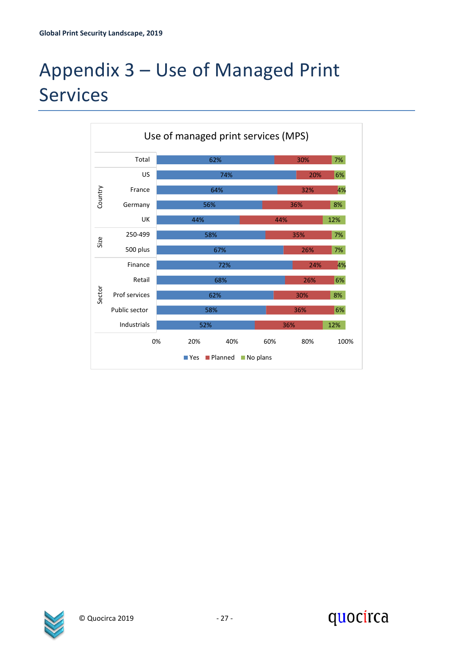# <span id="page-26-0"></span>Appendix 3 – Use of Managed Print Services